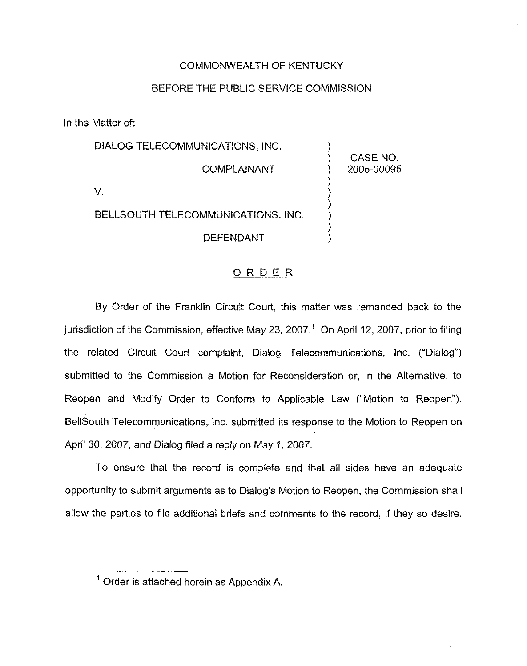### COMMONWEALTH OF KENTUCKY

## BEFORE THE PUBLIC SERVICE COMMISSION

In the Matter of:

| DIALOG TELECOMMUNICATIONS, INC.    |                        |
|------------------------------------|------------------------|
| <b>COMPLAINANT</b>                 | CASE NO.<br>2005-00095 |
|                                    |                        |
| BELLSOUTH TELECOMMUNICATIONS, INC. |                        |
| <b>DEFENDANT</b>                   |                        |

### ORDER

By Order of the Franklin Circuit Court, this matter was remanded back to the jurisdiction of the Commission, effective May 23, 2007.<sup>1</sup> On April 12, 2007, prior to filing the related Circuit Court complaint, Dialog Telecommunications, Inc. ("Dialog") submitted to the Commission a Motion for Reconsideration or, in the Alternative, to Reopen and Modify Order to Conform to Applicable Law ("Motion to Reopen"). BellSouth Telecommunications, Inc. submitted its response to the Motion to Reopen on April 30, 2007, and Dialog filed a reply on May 1, 2007.

To ensure that the record is complete and that all sides have an adequate opportunity to submit arguments as to Dialog's Motion to Reopen, the Commission shall allow the parties to file additional briefs and comments to the record, if they so desire.

 $<sup>1</sup>$  Order is attached herein as Appendix A.</sup>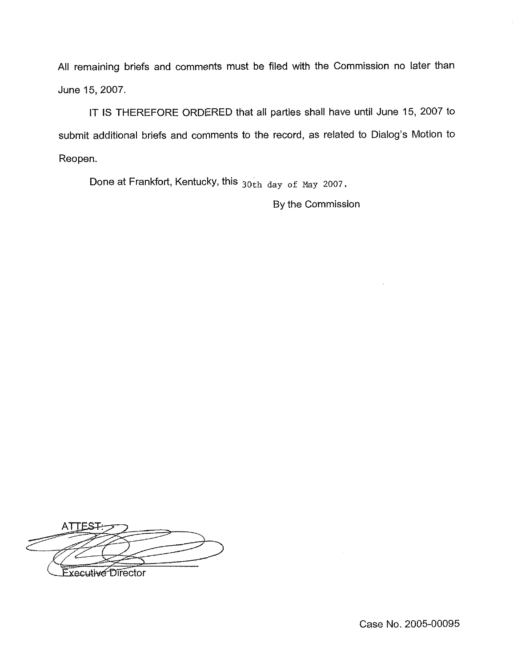All remaining briefs and comments must be filed with the Commission no later than June 15, 2007.

IT IS THEREFORE ORDERED that all parties shall have until June 15, 2007 to submit additional briefs and comments to the record, as related to Dialog's Motion to Reopen.

Done at Frankfort, Kentucky, this  $_{30th$  day of May 2007.

By the Commission

**ATTEST** Executive Director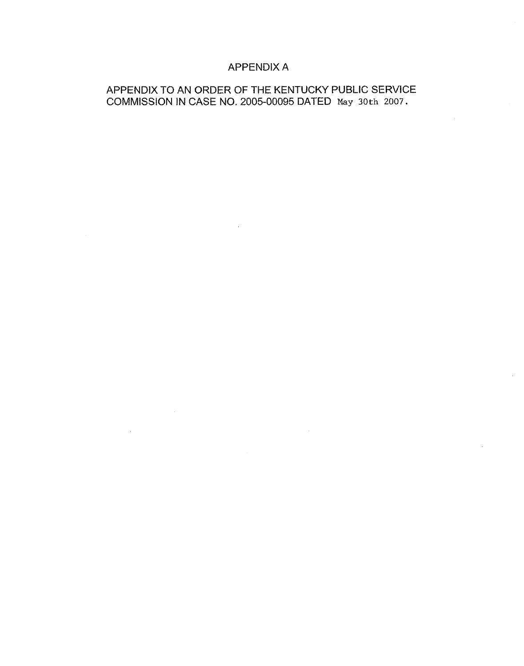# APPENDIX A

# APPENDIX TO AN ORDER OF THE KENTUCKY PUBLIC SERVICE COMMISSION IN CASE NO. 2005-00095 DATED May 30th 2007,

 $\mathcal{A}$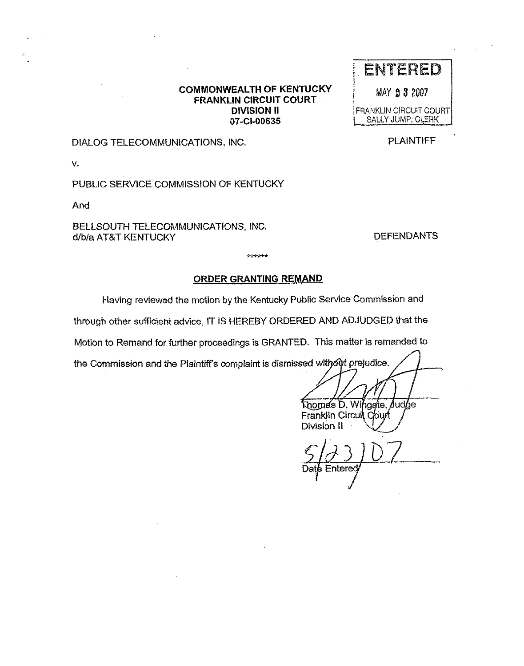### COMMONWEALTH OF KENTUCKY FRANKLIN CIRCUIT COURT DIVISION II 07-Cl-00635

#### DIALOG TELECOMMUNICATIONS, INC,

v.

PUBLIC SERVICE COMMISSION OF KENTUCKY

And

BELLSOUTH TELECOMMUNICATIONS, INC. d/b/a AT&T KENTUCKY DEFENDANTS

#### ORDER GRANTING REMAND

\*\*\*\*\*\*

Having reviewed the motion by the Kentucky Public Service Commission and

through other sufficient advice, IT IS HEREBY ORDERED AND ADJUDGED that the

Motion to Remand for further proceedings is GRANTED. This matter is remanded to

the Commission and the Plaintiff's complaint is dismissed with out prejudice.

Thomas D. Wingate, Judge Franklin Circuit Court Division II

Entered

# **ENTERED**

MAY 23 2007

FRANKLIN CIRCUIT COURT SALLY JUMP: CLERK

PLAINTIFF